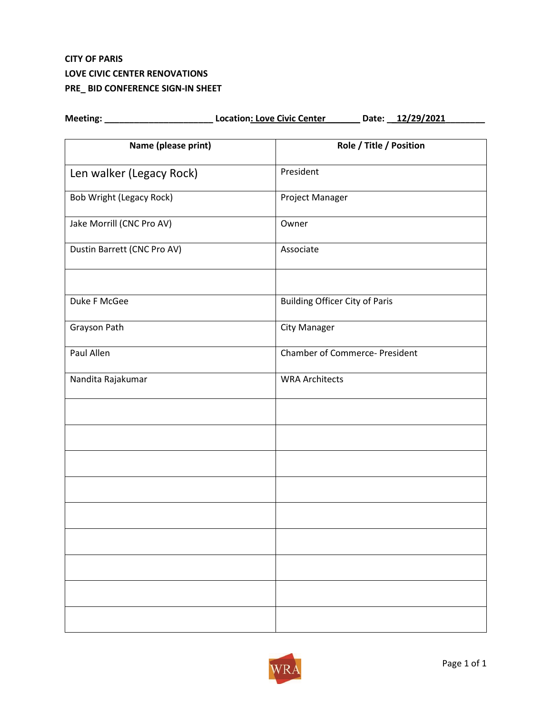# **CITY OF PARIS LOVE CIVIC CENTER RENOVATIONS PRE\_ BID CONFERENCE SIGN-IN SHEET**

| Name (please print)         | Role / Title / Position               |
|-----------------------------|---------------------------------------|
| Len walker (Legacy Rock)    | President                             |
| Bob Wright (Legacy Rock)    | Project Manager                       |
| Jake Morrill (CNC Pro AV)   | Owner                                 |
| Dustin Barrett (CNC Pro AV) | Associate                             |
| Duke F McGee                | <b>Building Officer City of Paris</b> |
| Grayson Path                | City Manager                          |
| Paul Allen                  | <b>Chamber of Commerce- President</b> |
| Nandita Rajakumar           | <b>WRA Architects</b>                 |
|                             |                                       |
|                             |                                       |
|                             |                                       |
|                             |                                       |
|                             |                                       |
|                             |                                       |
|                             |                                       |
|                             |                                       |
|                             |                                       |

Meeting: \_\_\_\_\_\_\_\_\_\_\_\_\_\_\_\_\_\_\_\_\_\_\_\_\_\_\_\_\_\_\_Location: Love Civic Center\_\_\_\_\_\_\_\_\_\_Date: \_\_12/29/2021\_\_\_\_\_\_\_\_\_\_

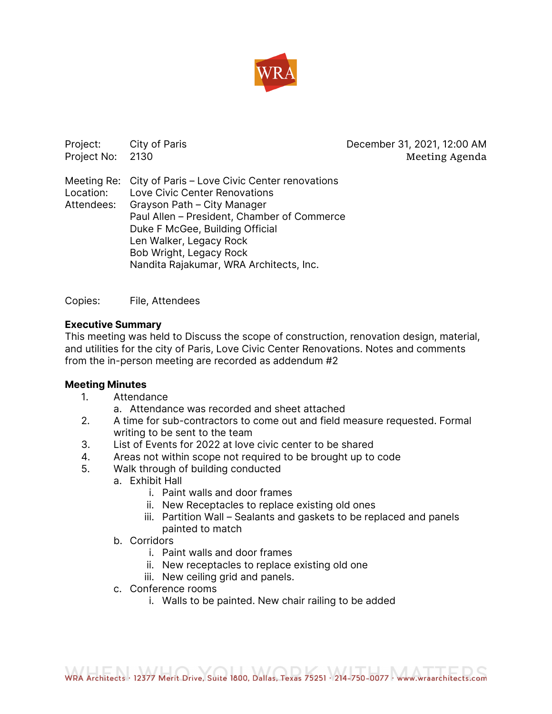

Project: City of Paris Contract City of Paris Contract City of Paris Contract City December 31, 2021, 12:00 AM Project No: 2130 **Meeting Agenda** Meeting Re: City of Paris – Love Civic Center renovations Location: Love Civic Center Renovations Attendees: Grayson Path – City Manager Paul Allen – President, Chamber of Commerce Duke F McGee, Building Official Len Walker, Legacy Rock Bob Wright, Legacy Rock Nandita Rajakumar, WRA Architects, Inc.

Copies: File, Attendees

# **Executive Summary**

This meeting was held to Discuss the scope of construction, renovation design, material, and utilities for the city of Paris, Love Civic Center Renovations. Notes and comments from the in-person meeting are recorded as addendum #2

# **Meeting Minutes**

- 1. Attendance
	- a. Attendance was recorded and sheet attached
- 2. A time for sub-contractors to come out and field measure requested. Formal writing to be sent to the team
- 3. List of Events for 2022 at love civic center to be shared
- 4. Areas not within scope not required to be brought up to code
- 5. Walk through of building conducted
	- a. Exhibit Hall
		- i. Paint walls and door frames
		- ii. New Receptacles to replace existing old ones
		- iii. Partition Wall Sealants and gaskets to be replaced and panels painted to match
	- b. Corridors
		- i. Paint walls and door frames
		- ii. New receptacles to replace existing old one
		- iii. New ceiling grid and panels.
	- c. Conference rooms
		- i. Walls to be painted. New chair railing to be added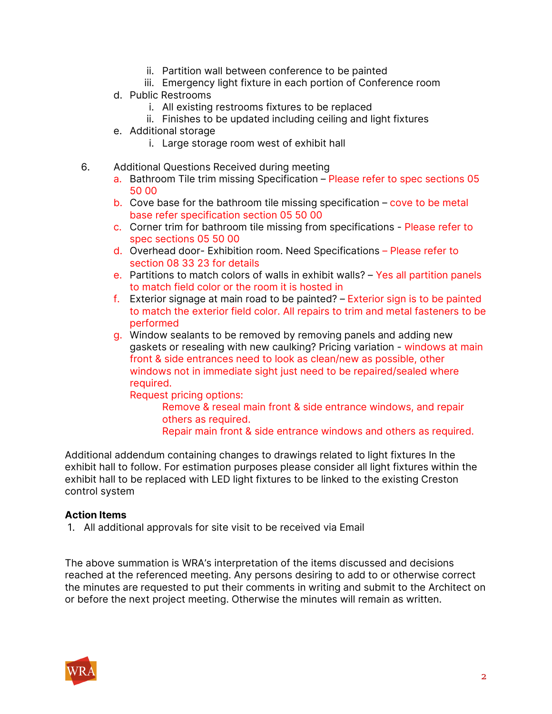- ii. Partition wall between conference to be painted
- iii. Emergency light fixture in each portion of Conference room
- d. Public Restrooms
	- i. All existing restrooms fixtures to be replaced
	- ii. Finishes to be updated including ceiling and light fixtures
- e. Additional storage
	- i. Large storage room west of exhibit hall
- 6. Additional Questions Received during meeting
	- a. Bathroom Tile trim missing Specification Please refer to spec sections 05 50 00
	- b. Cove base for the bathroom tile missing specification cove to be metal base refer specification section 05 50 00
	- c. Corner trim for bathroom tile missing from specifications Please refer to spec sections 05 50 00
	- d. Overhead door- Exhibition room. Need Specifications Please refer to section 08 33 23 for details
	- e. Partitions to match colors of walls in exhibit walls? Yes all partition panels to match field color or the room it is hosted in
	- f. Exterior signage at main road to be painted? Exterior sign is to be painted to match the exterior field color. All repairs to trim and metal fasteners to be performed
	- g. Window sealants to be removed by removing panels and adding new gaskets or resealing with new caulking? Pricing variation - windows at main front & side entrances need to look as clean/new as possible, other windows not in immediate sight just need to be repaired/sealed where required.

Request pricing options:

Remove & reseal main front & side entrance windows, and repair others as required. Repair main front & side entrance windows and others as required.

Additional addendum containing changes to drawings related to light fixtures In the exhibit hall to follow. For estimation purposes please consider all light fixtures within the exhibit hall to be replaced with LED light fixtures to be linked to the existing Creston control system

# **Action Items**

1. All additional approvals for site visit to be received via Email

The above summation is WRA's interpretation of the items discussed and decisions reached at the referenced meeting. Any persons desiring to add to or otherwise correct the minutes are requested to put their comments in writing and submit to the Architect on or before the next project meeting. Otherwise the minutes will remain as written.

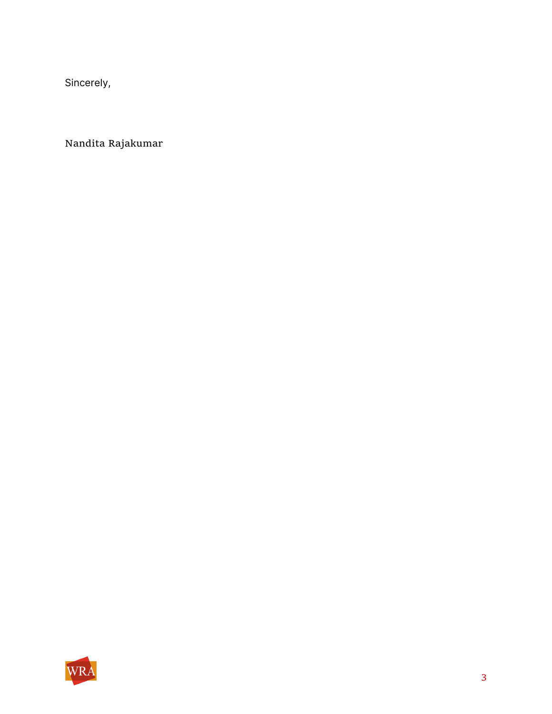Sincerely,

Nandita Rajakumar

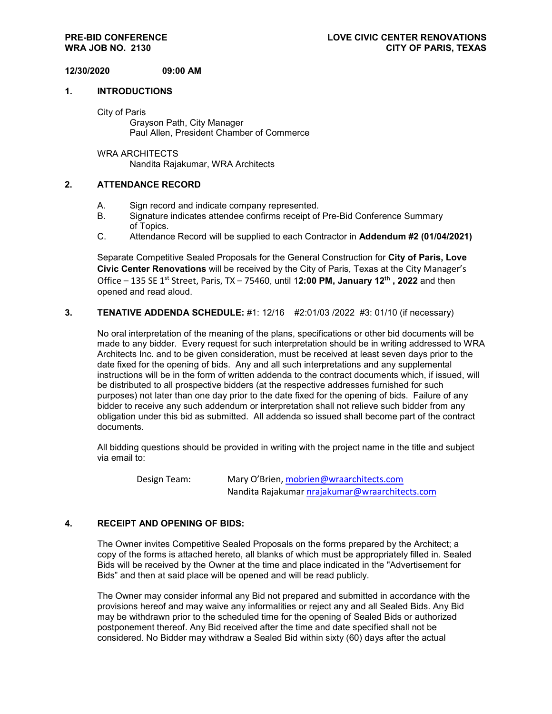## **12/30/2020 09:00 AM**

#### **1. INTRODUCTIONS**

City of Paris

Grayson Path, City Manager Paul Allen, President Chamber of Commerce

WRA ARCHITECTS Nandita Rajakumar, WRA Architects

#### **2. ATTENDANCE RECORD**

- A. Sign record and indicate company represented.
- B. Signature indicates attendee confirms receipt of Pre-Bid Conference Summary of Topics.
- C. Attendance Record will be supplied to each Contractor in **Addendum #2 (01/04/2021)**

Separate Competitive Sealed Proposals for the General Construction for **City of Paris, Love Civic Center Renovations** will be received by the City of Paris, Texas at the City Manager's Office – 135 SE 1st Street, Paris, TX – 75460, until 1**2:00 PM, January 12th , 2022** and then opened and read aloud.

### **3. TENATIVE ADDENDA SCHEDULE:** #1: 12/16 #2:01/03 /2022 #3: 01/10 (if necessary)

No oral interpretation of the meaning of the plans, specifications or other bid documents will be made to any bidder. Every request for such interpretation should be in writing addressed to WRA Architects Inc. and to be given consideration, must be received at least seven days prior to the date fixed for the opening of bids. Any and all such interpretations and any supplemental instructions will be in the form of written addenda to the contract documents which, if issued, will be distributed to all prospective bidders (at the respective addresses furnished for such purposes) not later than one day prior to the date fixed for the opening of bids. Failure of any bidder to receive any such addendum or interpretation shall not relieve such bidder from any obligation under this bid as submitted. All addenda so issued shall become part of the contract documents.

All bidding questions should be provided in writing with the project name in the title and subject via email to:

 Design Team: Mary O'Brien, [mobrien@wraarchitects.com](mailto:mobrien@wraarchitects.com) Nandita Rajakumar [nrajakumar@wraarchitects.com](mailto:nrajakumar@wraarchitects.com)

#### **4. RECEIPT AND OPENING OF BIDS:**

The Owner invites Competitive Sealed Proposals on the forms prepared by the Architect; a copy of the forms is attached hereto, all blanks of which must be appropriately filled in. Sealed Bids will be received by the Owner at the time and place indicated in the "Advertisement for Bids" and then at said place will be opened and will be read publicly.

The Owner may consider informal any Bid not prepared and submitted in accordance with the provisions hereof and may waive any informalities or reject any and all Sealed Bids. Any Bid may be withdrawn prior to the scheduled time for the opening of Sealed Bids or authorized postponement thereof. Any Bid received after the time and date specified shall not be considered. No Bidder may withdraw a Sealed Bid within sixty (60) days after the actual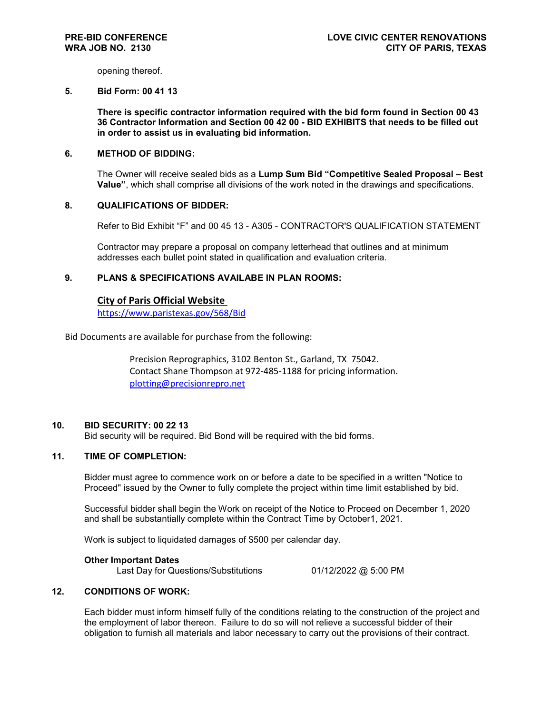opening thereof.

#### **5. Bid Form: 00 41 13**

**There is specific contractor information required with the bid form found in Section 00 43 36 Contractor Information and Section 00 42 00 - BID EXHIBITS that needs to be filled out in order to assist us in evaluating bid information.** 

## **6. METHOD OF BIDDING:**

The Owner will receive sealed bids as a **Lump Sum Bid "Competitive Sealed Proposal – Best Value"**, which shall comprise all divisions of the work noted in the drawings and specifications.

#### **8. QUALIFICATIONS OF BIDDER:**

Refer to Bid Exhibit "F" and 00 45 13 - A305 - CONTRACTOR'S QUALIFICATION STATEMENT

Contractor may prepare a proposal on company letterhead that outlines and at minimum addresses each bullet point stated in qualification and evaluation criteria.

## **9. PLANS & SPECIFICATIONS AVAILABE IN PLAN ROOMS:**

### **City of Paris Official Website**

<https://www.paristexas.gov/568/Bid>

Bid Documents are available for purchase from the following:

Precision Reprographics, 3102 Benton St., Garland, TX 75042. Contact Shane Thompson at 972-485-1188 for pricing information. [plotting@precisionrepro.net](mailto:plotting@precisionrepro.net)

#### **10. BID SECURITY: 00 22 13**

Bid security will be required. Bid Bond will be required with the bid forms.

# **11. TIME OF COMPLETION:**

Bidder must agree to commence work on or before a date to be specified in a written "Notice to Proceed" issued by the Owner to fully complete the project within time limit established by bid.

Successful bidder shall begin the Work on receipt of the Notice to Proceed on December 1, 2020 and shall be substantially complete within the Contract Time by October1, 2021.

Work is subject to liquidated damages of \$500 per calendar day.

#### **Other Important Dates**

Last Day for Questions/Substitutions 01/12/2022 @ 5:00 PM

#### **12. CONDITIONS OF WORK:**

Each bidder must inform himself fully of the conditions relating to the construction of the project and the employment of labor thereon. Failure to do so will not relieve a successful bidder of their obligation to furnish all materials and labor necessary to carry out the provisions of their contract.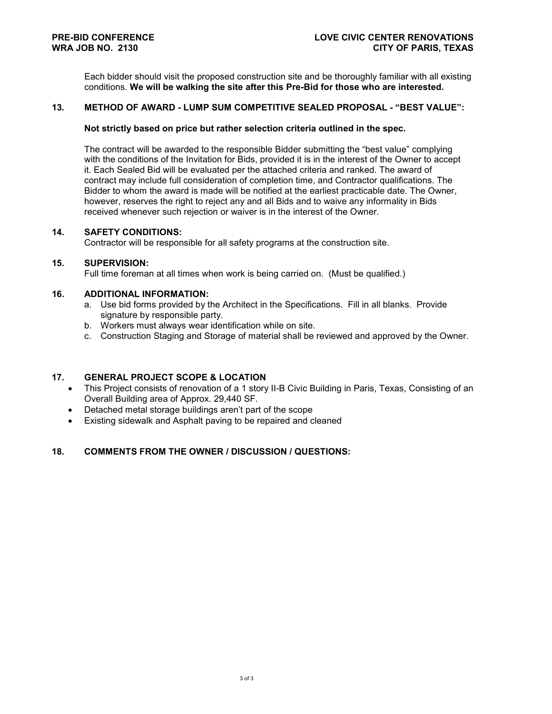Each bidder should visit the proposed construction site and be thoroughly familiar with all existing conditions. **We will be walking the site after this Pre-Bid for those who are interested.**

#### **13. METHOD OF AWARD - LUMP SUM COMPETITIVE SEALED PROPOSAL - "BEST VALUE":**

#### **Not strictly based on price but rather selection criteria outlined in the spec.**

The contract will be awarded to the responsible Bidder submitting the "best value" complying with the conditions of the Invitation for Bids, provided it is in the interest of the Owner to accept it. Each Sealed Bid will be evaluated per the attached criteria and ranked. The award of contract may include full consideration of completion time, and Contractor qualifications. The Bidder to whom the award is made will be notified at the earliest practicable date. The Owner, however, reserves the right to reject any and all Bids and to waive any informality in Bids received whenever such rejection or waiver is in the interest of the Owner.

#### **14. SAFETY CONDITIONS:**

Contractor will be responsible for all safety programs at the construction site.

#### **15. SUPERVISION:**

Full time foreman at all times when work is being carried on. (Must be qualified.)

## **16. ADDITIONAL INFORMATION:**

- a. Use bid forms provided by the Architect in the Specifications. Fill in all blanks. Provide signature by responsible party.
- b. Workers must always wear identification while on site.
- c. Construction Staging and Storage of material shall be reviewed and approved by the Owner.

#### **17. GENERAL PROJECT SCOPE & LOCATION**

- This Project consists of renovation of a 1 story II-B Civic Building in Paris, Texas, Consisting of an Overall Building area of Approx. 29,440 SF.
- Detached metal storage buildings aren't part of the scope
- Existing sidewalk and Asphalt paving to be repaired and cleaned

# **18. COMMENTS FROM THE OWNER / DISCUSSION / QUESTIONS:**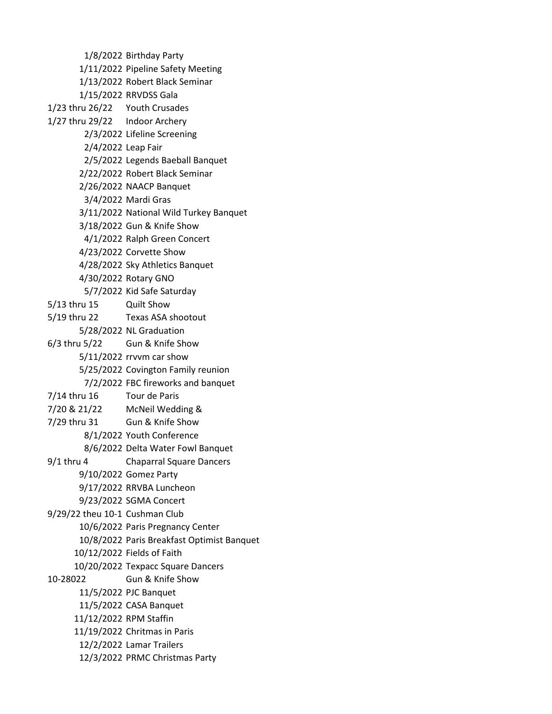1/8/2022 Birthday Party 1/11/2022 Pipeline Safety Meeting 1/13/2022 Robert Black Seminar 1/15/2022 RRVDSS Gala 1/23 thru 26/22 Youth Crusades 1/27 thru 29/22 Indoor Archery 2/3/2022 Lifeline Screening 2/4/2022 Leap Fair 2/5/2022 Legends Baeball Banquet 2/22/2022 Robert Black Seminar 2/26/2022 NAACP Banquet 3/4/2022 Mardi Gras 3/11/2022 National Wild Turkey Banquet 3/18/2022 Gun & Knife Show 4/1/2022 Ralph Green Concert 4/23/2022 Corvette Show 4/28/2022 Sky Athletics Banquet 4/30/2022 Rotary GNO 5/7/2022 Kid Safe Saturday 5/13 thru 15 Quilt Show 5/19 thru 22 Texas ASA shootout 5/28/2022 NL Graduation 6/3 thru 5/22 Gun & Knife Show 5/11/2022 rrvvm car show 5/25/2022 Covington Family reunion 7/2/2022 FBC fireworks and banquet 7/14 thru 16 Tour de Paris 7/20 & 21/22 McNeil Wedding & 7/29 thru 31 Gun & Knife Show 8/1/2022 Youth Conference 8/6/2022 Delta Water Fowl Banquet 9/1 thru 4 Chaparral Square Dancers 9/10/2022 Gomez Party 9/17/2022 RRVBA Luncheon 9/23/2022 SGMA Concert 9/29/22 theu 10-1 Cushman Club 10/6/2022 Paris Pregnancy Center 10/8/2022 Paris Breakfast Optimist Banquet 10/12/2022 Fields of Faith 10/20/2022 Texpacc Square Dancers 10-28022 Gun & Knife Show 11/5/2022 PJC Banquet 11/5/2022 CASA Banquet 11/12/2022 RPM Staffin 11/19/2022 Chritmas in Paris 12/2/2022 Lamar Trailers 12/3/2022 PRMC Christmas Party